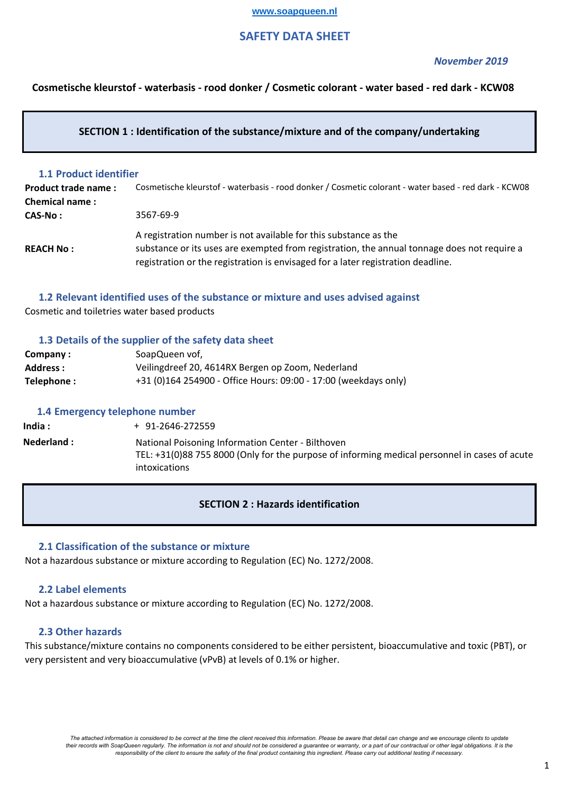### **www.soapqueen.nl**

# **SAFETY DATA SHEET**

### *November 2019*

**Cosmetische kleurstof - waterbasis - rood donker / Cosmetic colorant - water based - red dark - KCW08**

## **SECTION 1 : Identification of the substance/mixture and of the company/undertaking**

## **1.1 Product identifier**

| Product trade name:   | Cosmetische kleurstof - waterbasis - rood donker / Cosmetic colorant - water based - red dark - KCW08 |
|-----------------------|-------------------------------------------------------------------------------------------------------|
| <b>Chemical name:</b> |                                                                                                       |
| CAS-No :              | 3567-69-9                                                                                             |
|                       | A registration number is not available for this substance as the                                      |
| <b>REACH No:</b>      | substance or its uses are exempted from registration, the annual tonnage does not require a           |
|                       | registration or the registration is envisaged for a later registration deadline.                      |

# **1.2 Relevant identified uses of the substance or mixture and uses advised against**

Cosmetic and toiletries water based products

## **1.3 Details of the supplier of the safety data sheet**

| Company:   | SoapQueen vof,                                                  |
|------------|-----------------------------------------------------------------|
| Address :  | Veilingdreef 20, 4614RX Bergen op Zoom, Nederland               |
| Telephone: | +31 (0)164 254900 - Office Hours: 09:00 - 17:00 (weekdays only) |

## **1.4 Emergency telephone number**

**India : Nederland :** + 91-2646-272559 National Poisoning Information Center - Bilthoven TEL: +31(0)88 755 8000 (Only for the purpose of informing medical personnel in cases of acute intoxications

# **SECTION 2 : Hazards identification**

## **2.1 Classification of the substance or mixture**

Not a hazardous substance or mixture according to Regulation (EC) No. 1272/2008.

### **2.2 Label elements**

Not a hazardous substance or mixture according to Regulation (EC) No. 1272/2008.

## **2.3 Other hazards**

This substance/mixture contains no components considered to be either persistent, bioaccumulative and toxic (PBT), or very persistent and very bioaccumulative (vPvB) at levels of 0.1% or higher.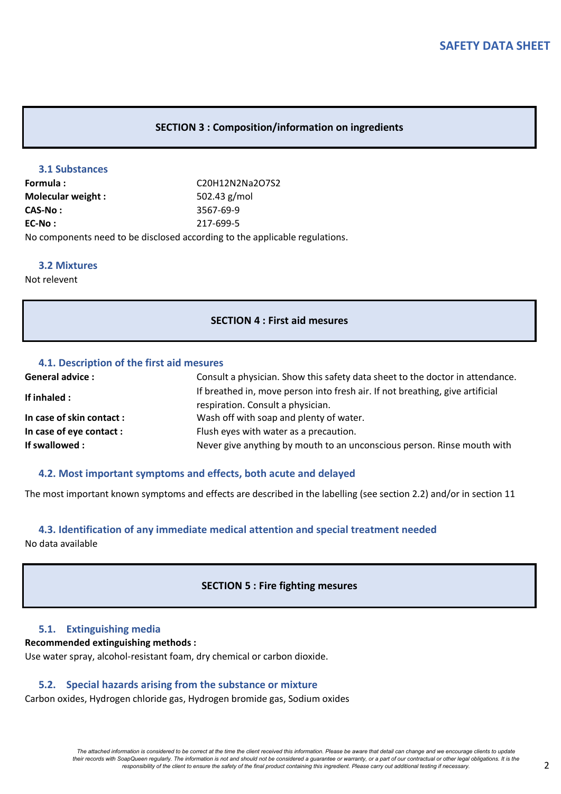## **SECTION 3 : Composition/information on ingredients**

### **3.1 Substances**

**EC-No :** 217-699-5 No components need to be disclosed according to the applicable regulations. **CAS-No :** 3567-69-9 **Formula :** C20H12N2Na2O7S2 **Molecular weight :** 502.43 g/mol

### **3.2 Mixtures**

Not relevent

### **SECTION 4 : First aid mesures**

## **4.1. Description of the first aid mesures**

| <b>General advice:</b>    | Consult a physician. Show this safety data sheet to the doctor in attendance.                                      |  |
|---------------------------|--------------------------------------------------------------------------------------------------------------------|--|
| If inhaled :              | If breathed in, move person into fresh air. If not breathing, give artificial<br>respiration. Consult a physician. |  |
| In case of skin contact : | Wash off with soap and plenty of water.                                                                            |  |
| In case of eye contact :  | Flush eyes with water as a precaution.                                                                             |  |
| If swallowed :            | Never give anything by mouth to an unconscious person. Rinse mouth with                                            |  |

### **4.2. Most important symptoms and effects, both acute and delayed**

The most important known symptoms and effects are described in the labelling (see section 2.2) and/or in section 11

## **4.3. Identification of any immediate medical attention and special treatment needed**

No data available

## **SECTION 5 : Fire fighting mesures**

## **5.1. Extinguishing media**

## **Recommended extinguishing methods :**

Use water spray, alcohol-resistant foam, dry chemical or carbon dioxide.

### **5.2. Special hazards arising from the substance or mixture**

Carbon oxides, Hydrogen chloride gas, Hydrogen bromide gas, Sodium oxides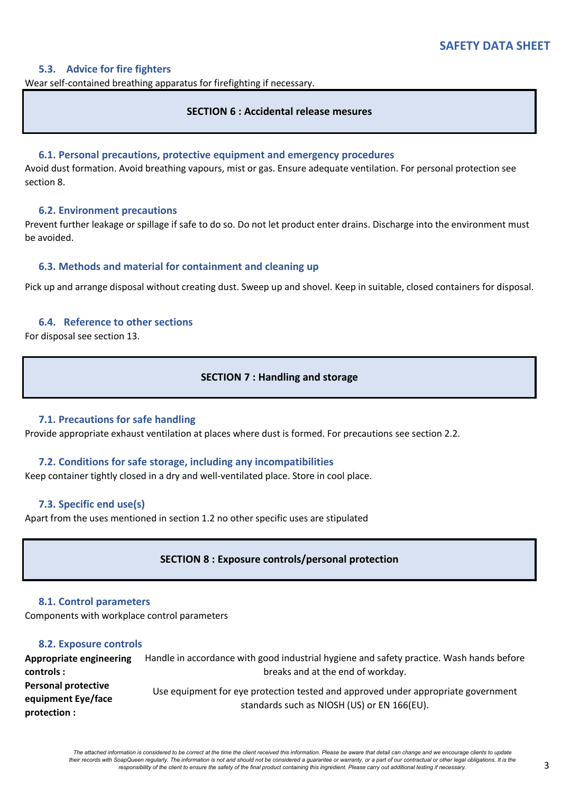## **5.3. Advice for fire fighters**

Wear self-contained breathing apparatus for firefighting if necessary.

## **SECTION 6 : Accidental release mesures**

### **6.1. Personal precautions, protective equipment and emergency procedures**

Avoid dust formation. Avoid breathing vapours, mist or gas. Ensure adequate ventilation. For personal protection see section 8.

### **6.2. Environment precautions**

Prevent further leakage or spillage if safe to do so. Do not let product enter drains. Discharge into the environment must be avoided.

### **6.3. Methods and material for containment and cleaning up**

Pick up and arrange disposal without creating dust. Sweep up and shovel. Keep in suitable, closed containers for disposal.

### **6.4. Reference to other sections**

For disposal see section 13.

## **SECTION 7 : Handling and storage**

## **7.1. Precautions for safe handling**

Provide appropriate exhaust ventilation at places where dust is formed. For precautions see section 2.2.

## **7.2. Conditions for safe storage, including any incompatibilities**

Keep container tightly closed in a dry and well-ventilated place. Store in cool place.

## **7.3. Specific end use(s)**

Apart from the uses mentioned in section 1.2 no other specific uses are stipulated

# **SECTION 8 : Exposure controls/personal protection**

### **8.1. Control parameters**

Components with workplace control parameters

## **8.2. Exposure controls**

**Appropriate engineering controls : Personal protective equipment Eye/face protection :** Handle in accordance with good industrial hygiene and safety practice. Wash hands before breaks and at the end of workday. Use equipment for eye protection tested and approved under appropriate government standards such as NIOSH (US) or EN 166(EU).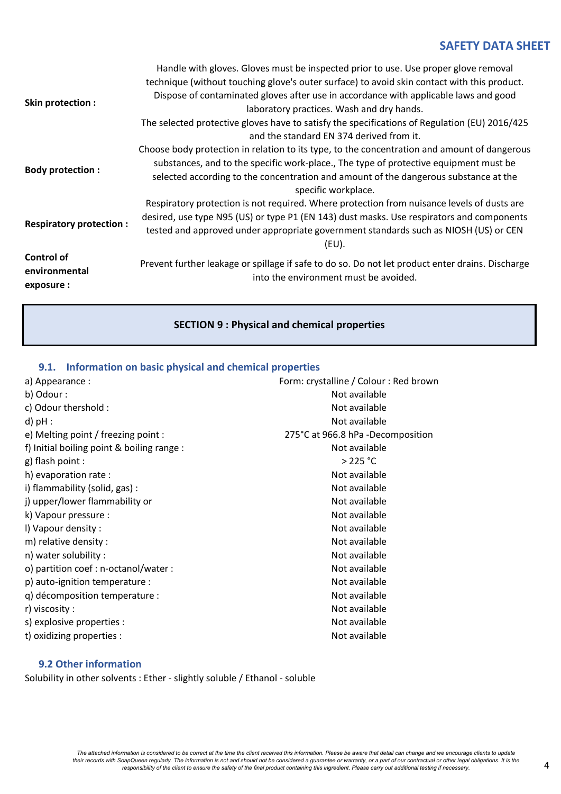| Skin protection :                                | Handle with gloves. Gloves must be inspected prior to use. Use proper glove removal<br>technique (without touching glove's outer surface) to avoid skin contact with this product.<br>Dispose of contaminated gloves after use in accordance with applicable laws and good<br>laboratory practices. Wash and dry hands.<br>The selected protective gloves have to satisfy the specifications of Regulation (EU) 2016/425<br>and the standard EN 374 derived from it. |
|--------------------------------------------------|----------------------------------------------------------------------------------------------------------------------------------------------------------------------------------------------------------------------------------------------------------------------------------------------------------------------------------------------------------------------------------------------------------------------------------------------------------------------|
| <b>Body protection:</b>                          | Choose body protection in relation to its type, to the concentration and amount of dangerous<br>substances, and to the specific work-place., The type of protective equipment must be<br>selected according to the concentration and amount of the dangerous substance at the<br>specific workplace.                                                                                                                                                                 |
| <b>Respiratory protection:</b>                   | Respiratory protection is not required. Where protection from nuisance levels of dusts are<br>desired, use type N95 (US) or type P1 (EN 143) dust masks. Use respirators and components<br>tested and approved under appropriate government standards such as NIOSH (US) or CEN<br>$(EU)$ .                                                                                                                                                                          |
| <b>Control of</b><br>environmental<br>exposure : | Prevent further leakage or spillage if safe to do so. Do not let product enter drains. Discharge<br>into the environment must be avoided.                                                                                                                                                                                                                                                                                                                            |

# **SECTION 9 : Physical and chemical properties**

# **9.1. Information on basic physical and chemical properties**

| a) Appearance :                            | Form: crystalline / Colour: Red brown |  |  |
|--------------------------------------------|---------------------------------------|--|--|
| b) Odour :                                 | Not available                         |  |  |
| c) Odour thershold :                       | Not available                         |  |  |
| $d$ ) $pH$ :                               | Not available                         |  |  |
| e) Melting point / freezing point :        | 275°C at 966.8 hPa -Decomposition     |  |  |
| f) Initial boiling point & boiling range : | Not available                         |  |  |
| g) flash point :                           | >225 °C                               |  |  |
| h) evaporation rate :                      | Not available                         |  |  |
| i) flammability (solid, gas) :             | Not available                         |  |  |
| j) upper/lower flammability or             | Not available                         |  |  |
| k) Vapour pressure :                       | Not available                         |  |  |
| I) Vapour density :                        | Not available                         |  |  |
| m) relative density :                      | Not available                         |  |  |
| n) water solubility :                      | Not available                         |  |  |
| o) partition coef : n-octanol/water :      | Not available                         |  |  |
| p) auto-ignition temperature :             | Not available                         |  |  |
| q) décomposition temperature :             | Not available                         |  |  |
| r) viscosity :                             | Not available                         |  |  |
| s) explosive properties :                  | Not available                         |  |  |
| t) oxidizing properties :                  | Not available                         |  |  |

# **9.2 Other information**

Solubility in other solvents : Ether - slightly soluble / Ethanol - soluble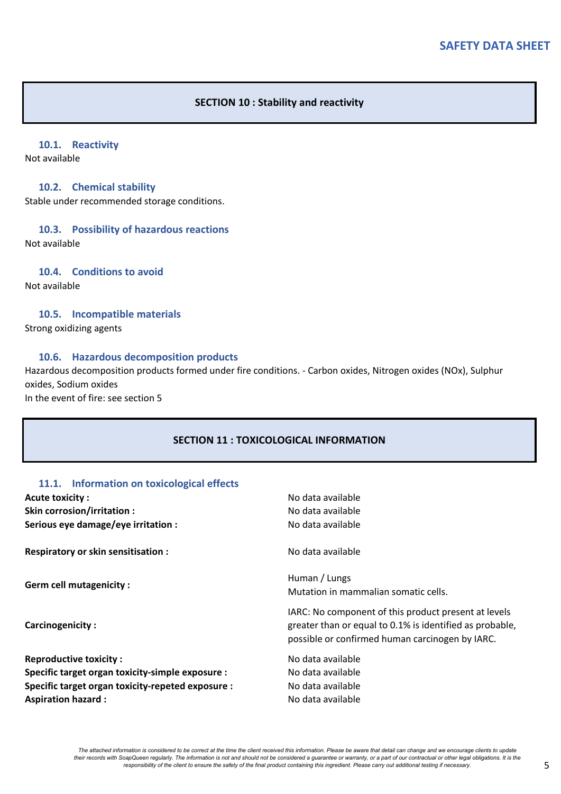## **SECTION 10 : Stability and reactivity**

# **10.1. Reactivity**

Not available

### **10.2. Chemical stability**

Stable under recommended storage conditions.

## **10.3. Possibility of hazardous reactions**

Not available

### **10.4. Conditions to avoid**

Not available

## **10.5. Incompatible materials**

Strong oxidizing agents

### **10.6. Hazardous decomposition products**

Hazardous decomposition products formed under fire conditions. - Carbon oxides, Nitrogen oxides (NOx), Sulphur oxides, Sodium oxides

In the event of fire: see section 5

# **SECTION 11 : TOXICOLOGICAL INFORMATION**

## **11.1. Information on toxicological effects**

| <b>Acute toxicity:</b>                                                                                                                                              | No data available                                                                                                                                                   |
|---------------------------------------------------------------------------------------------------------------------------------------------------------------------|---------------------------------------------------------------------------------------------------------------------------------------------------------------------|
| Skin corrosion/irritation :                                                                                                                                         | No data available                                                                                                                                                   |
| Serious eye damage/eye irritation :                                                                                                                                 | No data available                                                                                                                                                   |
| Respiratory or skin sensitisation :                                                                                                                                 | No data available                                                                                                                                                   |
| <b>Germ cell mutagenicity:</b>                                                                                                                                      | Human / Lungs<br>Mutation in mammalian somatic cells.                                                                                                               |
| Carcinogenicity:                                                                                                                                                    | IARC: No component of this product present at levels<br>greater than or equal to 0.1% is identified as probable,<br>possible or confirmed human carcinogen by IARC. |
| <b>Reproductive toxicity:</b><br>Specific target organ toxicity-simple exposure :<br>Specific target organ toxicity-repeted exposure :<br><b>Aspiration hazard:</b> | No data available<br>No data available<br>No data available<br>No data available                                                                                    |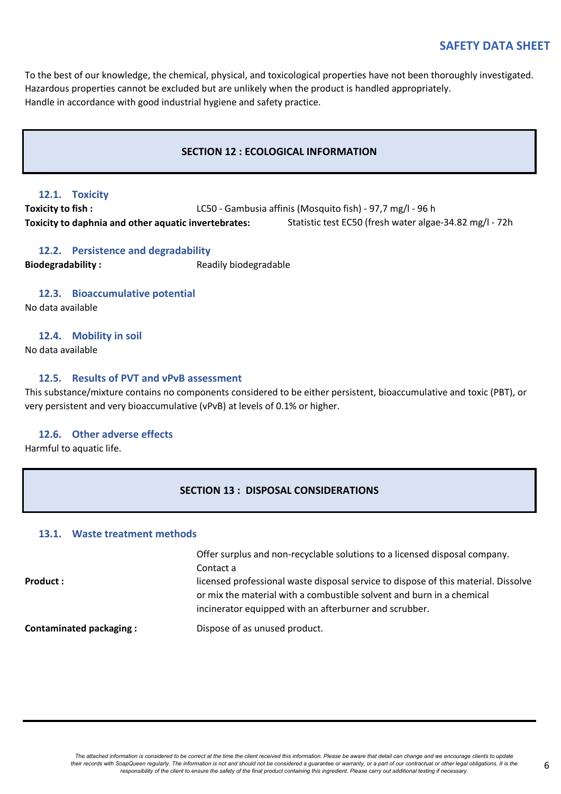To the best of our knowledge, the chemical, physical, and toxicological properties have not been thoroughly investigated. Hazardous properties cannot be excluded but are unlikely when the product is handled appropriately. Handle in accordance with good industrial hygiene and safety practice.

## **SECTION 12 : ECOLOGICAL INFORMATION**

## **12.1. Toxicity**

**Toxicity to daphnia and other aquatic invertebrates:** Statistic test EC50 (fresh water algae-34.82 mg/l - 72h **Toxicity to fish :** LC50 - Gambusia affinis (Mosquito fish) - 97,7 mg/l - 96 h

## **12.2. Persistence and degradability**

**Biodegradability :** Readily biodegradable

## **12.3. Bioaccumulative potential**

No data available

## **12.4. Mobility in soil**

No data available

## **12.5. Results of PVT and vPvB assessment**

This substance/mixture contains no components considered to be either persistent, bioaccumulative and toxic (PBT), or very persistent and very bioaccumulative (vPvB) at levels of 0.1% or higher.

## **12.6. Other adverse effects**

Harmful to aquatic life.

## **SECTION 13 : DISPOSAL CONSIDERATIONS**

# **13.1. Waste treatment methods**

| Product :                      | Offer surplus and non-recyclable solutions to a licensed disposal company.<br>Contact a<br>licensed professional waste disposal service to dispose of this material. Dissolve<br>or mix the material with a combustible solvent and burn in a chemical<br>incinerator equipped with an afterburner and scrubber. |
|--------------------------------|------------------------------------------------------------------------------------------------------------------------------------------------------------------------------------------------------------------------------------------------------------------------------------------------------------------|
| <b>Contaminated packaging:</b> | Dispose of as unused product.                                                                                                                                                                                                                                                                                    |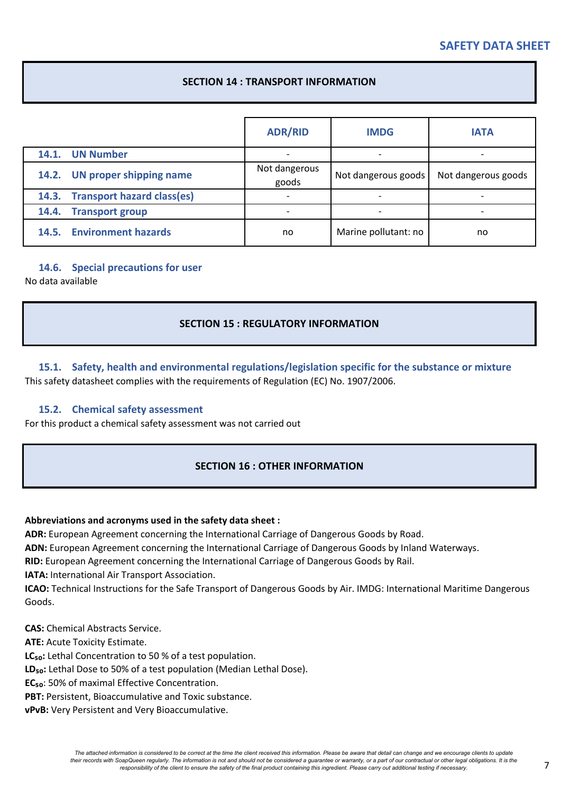# **SECTION 14 : TRANSPORT INFORMATION**

|                                  | <b>ADR/RID</b>           | <b>IMDG</b>          | <b>IATA</b>         |
|----------------------------------|--------------------------|----------------------|---------------------|
| 14.1. UN Number                  | $\overline{\phantom{0}}$ |                      |                     |
| 14.2. UN proper shipping name    | Not dangerous<br>goods   | Not dangerous goods  | Not dangerous goods |
| 14.3. Transport hazard class(es) | $\overline{\phantom{0}}$ |                      |                     |
| 14.4. Transport group            |                          |                      |                     |
| 14.5. Environment hazards        | no                       | Marine pollutant: no | no                  |

## **14.6. Special precautions for user**

No data available

# **SECTION 15 : REGULATORY INFORMATION**

# **15.1. Safety, health and environmental regulations/legislation specific for the substance or mixture** This safety datasheet complies with the requirements of Regulation (EC) No. 1907/2006.

## **15.2. Chemical safety assessment**

For this product a chemical safety assessment was not carried out

# **SECTION 16 : OTHER INFORMATION**

## **Abbreviations and acronyms used in the safety data sheet :**

**ADR:** European Agreement concerning the International Carriage of Dangerous Goods by Road.

**ADN:** European Agreement concerning the International Carriage of Dangerous Goods by Inland Waterways.

**RID:** European Agreement concerning the International Carriage of Dangerous Goods by Rail.

**IATA:** International Air Transport Association.

**ICAO:** Technical Instructions for the Safe Transport of Dangerous Goods by Air. IMDG: International Maritime Dangerous Goods.

**CAS:** Chemical Abstracts Service.

**ATE:** Acute Toxicity Estimate.

LC<sub>50</sub>: Lethal Concentration to 50 % of a test population.

LD<sub>50</sub>: Lethal Dose to 50% of a test population (Median Lethal Dose).

**EC<sub>50</sub>**: 50% of maximal Effective Concentration.

**PBT:** Persistent, Bioaccumulative and Toxic substance.

**vPvB:** Very Persistent and Very Bioaccumulative.